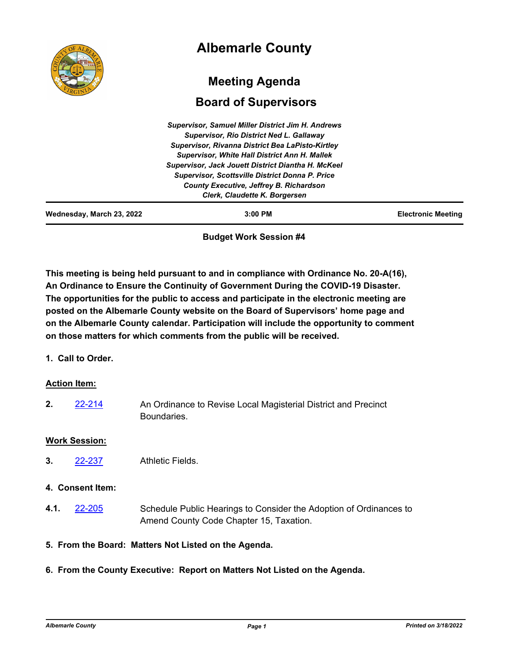|                           | <b>Albemarle County</b>                                                                                                                                                                                                                                                                                                                                                                                             |                           |
|---------------------------|---------------------------------------------------------------------------------------------------------------------------------------------------------------------------------------------------------------------------------------------------------------------------------------------------------------------------------------------------------------------------------------------------------------------|---------------------------|
|                           | <b>Meeting Agenda</b><br><b>Board of Supervisors</b>                                                                                                                                                                                                                                                                                                                                                                |                           |
|                           | <b>Supervisor, Samuel Miller District Jim H. Andrews</b><br><b>Supervisor, Rio District Ned L. Gallaway</b><br>Supervisor, Rivanna District Bea LaPisto-Kirtley<br><b>Supervisor, White Hall District Ann H. Mallek</b><br>Supervisor, Jack Jouett District Diantha H. McKeel<br><b>Supervisor, Scottsville District Donna P. Price</b><br>County Executive, Jeffrey B. Richardson<br>Clerk, Claudette K. Borgersen |                           |
| Wednesday, March 23, 2022 | $3:00$ PM                                                                                                                                                                                                                                                                                                                                                                                                           | <b>Electronic Meeting</b> |

**Budget Work Session #4**

**This meeting is being held pursuant to and in compliance with Ordinance No. 20-A(16), An Ordinance to Ensure the Continuity of Government During the COVID-19 Disaster. The opportunities for the public to access and participate in the electronic meeting are posted on the Albemarle County website on the Board of Supervisors' home page and on the Albemarle County calendar. Participation will include the opportunity to comment on those matters for which comments from the public will be received.**

**1. Call to Order.**

## **Action Item:**

An Ordinance to Revise Local Magisterial District and Precinct Boundaries. **2.** [22-214](http://albemarle.legistar.com/gateway.aspx?m=l&id=/matter.aspx?key=6959)

## **Work Session:**

**3.** [22-237](http://albemarle.legistar.com/gateway.aspx?m=l&id=/matter.aspx?key=6982) Athletic Fields.

## **4. Consent Item:**

- Schedule Public Hearings to Consider the Adoption of Ordinances to Amend County Code Chapter 15, Taxation. **4.1.** [22-205](http://albemarle.legistar.com/gateway.aspx?m=l&id=/matter.aspx?key=6950)
- **5. From the Board: Matters Not Listed on the Agenda.**
- **6. From the County Executive: Report on Matters Not Listed on the Agenda.**